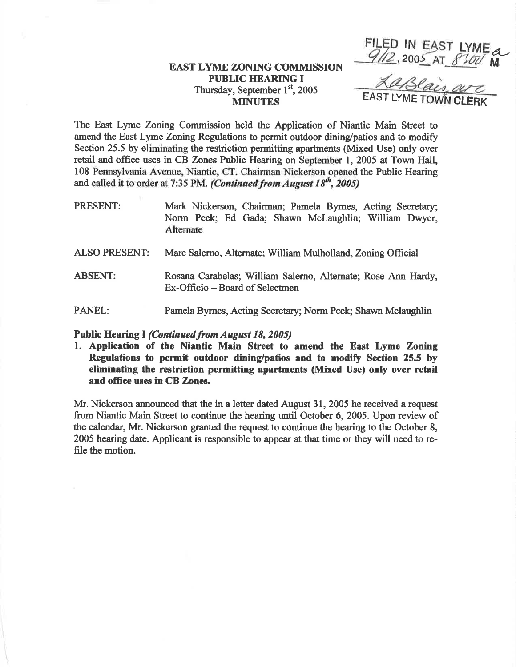## FILED IN EAST LYME<br>
EAST LYME ZONING COMMISSION<br>
PUBLIC HEARING I<br>
Thurdor Sontember 1st 2005 **PUBLIC HEARING I** Thursday, September 1<sup>st</sup>, 2005 **MINUTES**

The East Lyme Zoning Commission held the Application of Niantic Main Street to amend the East Lyme Zoning Regulations to permit outdoor dining/patios and to modify Section 25.5 by eliminating the restriction permitting apartments (Mixed Use) only over retail and office uses in CB Zones Public Hearing on September 1,2005 at Town Hall, 108 Pennsylvania Avenue, Niantic, CT. Chairman Nickerson opened the Public Hearing and called it to order at 7:35 PM. (Continued from August  $18^{th}$ , 2005)

- PRESENT: Mark Nickerson, Chairman; Pamela Bymes, Acting Secretary; Norm Peck; Ed Gada; Shawn Mclaugblin; William Dwyer, Alternate
- ALSO PRESENT: Marc Salemo, Alternate; William Mulholland, Zoning Oflicial
- ABSENT: Rosana Carabelas; William Salerno, Alternate; Rose Ann Hardy, Ex-Officio – Board of Selectmen
- PANEL: Panrela Byrnes, Acting Secretary; Norm Peck; Shawn Mclaughlin

## Public Hearing I (Continued from August 18, 2005)

1. Application of the Niantic Main Street to amend the East Lyme Zoning Regulations to permit outdoor dining/patios and to modify Section 25.5 by eliminating the nestriction permitting apartments (Mixed Use) only over retail and office uses in CB Zones.

Mr. Nickerson announced that the in a letter dated August 31, 2005 he received a request from Niantic Main Street to continue the hearing until October 6, 2005. Upon review of the calendar, Mr. Nickerson granted the request to continue the hearing to the October 8, 2005 hearing date. Applicant is responsible to appear at that time or they will need to refile the motion.